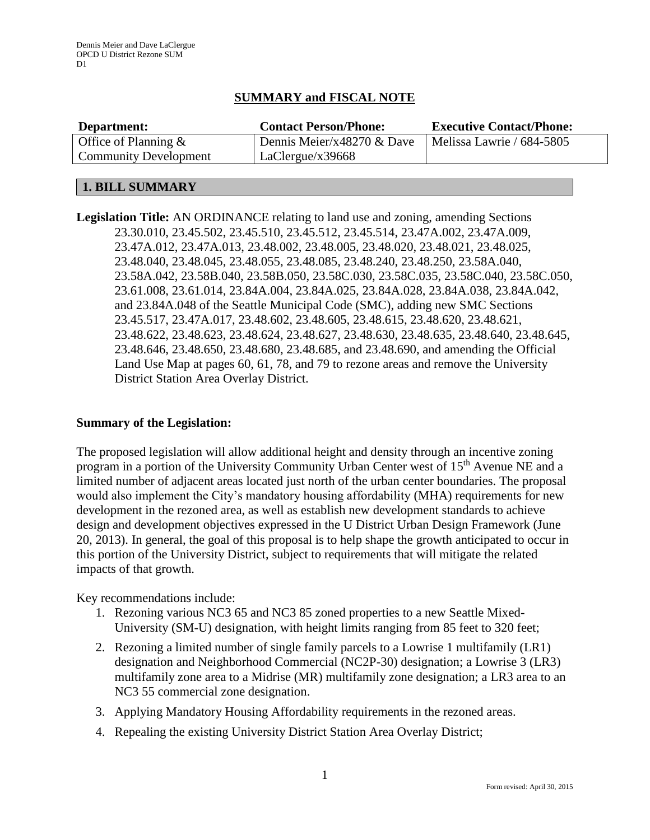# **SUMMARY and FISCAL NOTE**

| Department:                  | <b>Contact Person/Phone:</b> | <b>Executive Contact/Phone:</b> |
|------------------------------|------------------------------|---------------------------------|
| Office of Planning $\&$      | Dennis Meier/x48270 & Dave   | Melissa Lawrie / 684-5805       |
| <b>Community Development</b> | LaClergue/x39668             |                                 |

## **1. BILL SUMMARY**

**Legislation Title:** AN ORDINANCE relating to land use and zoning, amending Sections 23.30.010, 23.45.502, 23.45.510, 23.45.512, 23.45.514, 23.47A.002, 23.47A.009, 23.47A.012, 23.47A.013, 23.48.002, 23.48.005, 23.48.020, 23.48.021, 23.48.025, 23.48.040, 23.48.045, 23.48.055, 23.48.085, 23.48.240, 23.48.250, 23.58A.040, 23.58A.042, 23.58B.040, 23.58B.050, 23.58C.030, 23.58C.035, 23.58C.040, 23.58C.050, 23.61.008, 23.61.014, 23.84A.004, 23.84A.025, 23.84A.028, 23.84A.038, 23.84A.042, and 23.84A.048 of the Seattle Municipal Code (SMC), adding new SMC Sections 23.45.517, 23.47A.017, 23.48.602, 23.48.605, 23.48.615, 23.48.620, 23.48.621, 23.48.622, 23.48.623, 23.48.624, 23.48.627, 23.48.630, 23.48.635, 23.48.640, 23.48.645, 23.48.646, 23.48.650, 23.48.680, 23.48.685, and 23.48.690, and amending the Official Land Use Map at pages 60, 61, 78, and 79 to rezone areas and remove the University District Station Area Overlay District.

#### **Summary of the Legislation:**

The proposed legislation will allow additional height and density through an incentive zoning program in a portion of the University Community Urban Center west of 15<sup>th</sup> Avenue NE and a limited number of adjacent areas located just north of the urban center boundaries. The proposal would also implement the City's mandatory housing affordability (MHA) requirements for new development in the rezoned area, as well as establish new development standards to achieve design and development objectives expressed in the U District Urban Design Framework (June 20, 2013). In general, the goal of this proposal is to help shape the growth anticipated to occur in this portion of the University District, subject to requirements that will mitigate the related impacts of that growth.

Key recommendations include:

- 1. Rezoning various NC3 65 and NC3 85 zoned properties to a new Seattle Mixed-University (SM-U) designation, with height limits ranging from 85 feet to 320 feet;
- 2. Rezoning a limited number of single family parcels to a Lowrise 1 multifamily (LR1) designation and Neighborhood Commercial (NC2P-30) designation; a Lowrise 3 (LR3) multifamily zone area to a Midrise (MR) multifamily zone designation; a LR3 area to an NC3 55 commercial zone designation.
- 3. Applying Mandatory Housing Affordability requirements in the rezoned areas.
- 4. Repealing the existing University District Station Area Overlay District;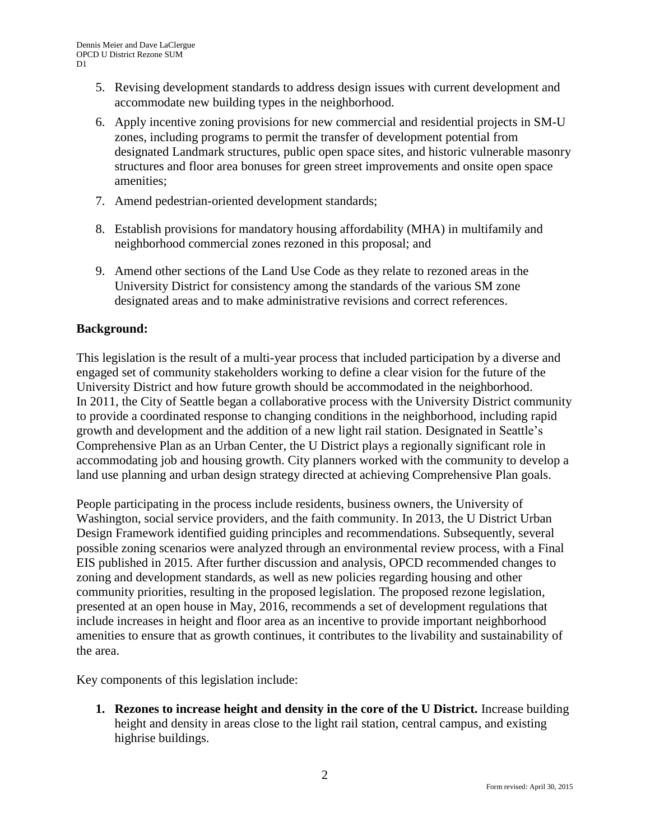- 5. Revising development standards to address design issues with current development and accommodate new building types in the neighborhood.
- 6. Apply incentive zoning provisions for new commercial and residential projects in SM-U zones, including programs to permit the transfer of development potential from designated Landmark structures, public open space sites, and historic vulnerable masonry structures and floor area bonuses for green street improvements and onsite open space amenities;
- 7. Amend pedestrian-oriented development standards;
- 8. Establish provisions for mandatory housing affordability (MHA) in multifamily and neighborhood commercial zones rezoned in this proposal; and
- 9. Amend other sections of the Land Use Code as they relate to rezoned areas in the University District for consistency among the standards of the various SM zone designated areas and to make administrative revisions and correct references.

## **Background:**

This legislation is the result of a multi-year process that included participation by a diverse and engaged set of community stakeholders working to define a clear vision for the future of the University District and how future growth should be accommodated in the neighborhood. In 2011, the City of Seattle began a collaborative process with the University District community to provide a coordinated response to changing conditions in the neighborhood, including rapid growth and development and the addition of a new light rail station. Designated in Seattle's Comprehensive Plan as an Urban Center, the U District plays a regionally significant role in accommodating job and housing growth. City planners worked with the community to develop a land use planning and urban design strategy directed at achieving Comprehensive Plan goals.

People participating in the process include residents, business owners, the University of Washington, social service providers, and the faith community. In 2013, the U District Urban Design Framework identified guiding principles and recommendations. Subsequently, several possible zoning scenarios were analyzed through an environmental review process, with a Final EIS published in 2015. After further discussion and analysis, OPCD recommended changes to zoning and development standards, as well as new policies regarding housing and other community priorities, resulting in the proposed legislation. The proposed rezone legislation, presented at an open house in May, 2016, recommends a set of development regulations that include increases in height and floor area as an incentive to provide important neighborhood amenities to ensure that as growth continues, it contributes to the livability and sustainability of the area.

Key components of this legislation include:

**1. Rezones to increase height and density in the core of the U District.** Increase building height and density in areas close to the light rail station, central campus, and existing highrise buildings.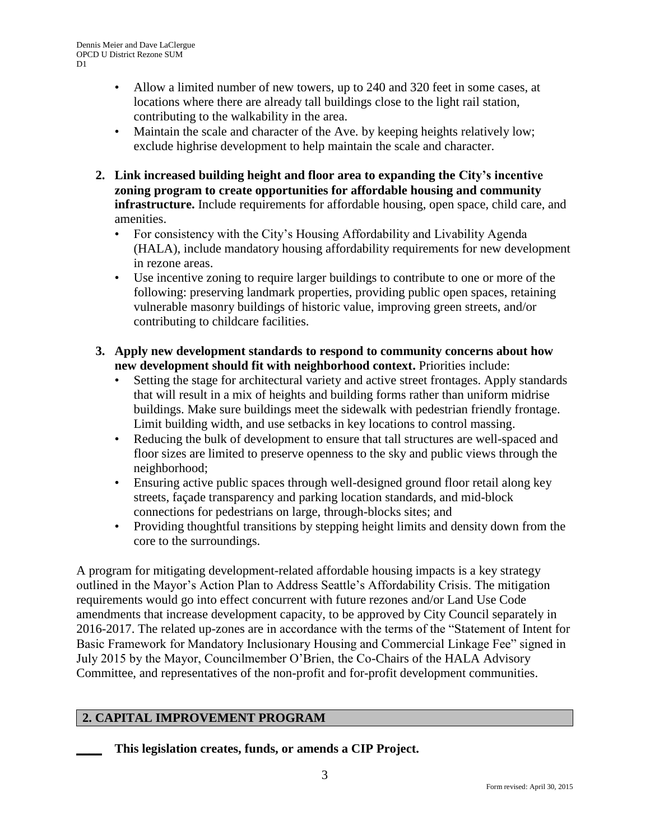- Allow a limited number of new towers, up to 240 and 320 feet in some cases, at locations where there are already tall buildings close to the light rail station, contributing to the walkability in the area.
- Maintain the scale and character of the Ave. by keeping heights relatively low; exclude highrise development to help maintain the scale and character.
- **2. Link increased building height and floor area to expanding the City's incentive zoning program to create opportunities for affordable housing and community infrastructure.** Include requirements for affordable housing, open space, child care, and amenities.
	- For consistency with the City's Housing Affordability and Livability Agenda (HALA), include mandatory housing affordability requirements for new development in rezone areas.
	- Use incentive zoning to require larger buildings to contribute to one or more of the following: preserving landmark properties, providing public open spaces, retaining vulnerable masonry buildings of historic value, improving green streets, and/or contributing to childcare facilities.
- **3. Apply new development standards to respond to community concerns about how new development should fit with neighborhood context.** Priorities include:
	- Setting the stage for architectural variety and active street frontages. Apply standards that will result in a mix of heights and building forms rather than uniform midrise buildings. Make sure buildings meet the sidewalk with pedestrian friendly frontage. Limit building width, and use setbacks in key locations to control massing.
	- Reducing the bulk of development to ensure that tall structures are well-spaced and floor sizes are limited to preserve openness to the sky and public views through the neighborhood;
	- Ensuring active public spaces through well-designed ground floor retail along key streets, façade transparency and parking location standards, and mid-block connections for pedestrians on large, through-blocks sites; and
	- Providing thoughtful transitions by stepping height limits and density down from the core to the surroundings.

A program for mitigating development-related affordable housing impacts is a key strategy outlined in the Mayor's Action Plan to Address Seattle's Affordability Crisis. The mitigation requirements would go into effect concurrent with future rezones and/or Land Use Code amendments that increase development capacity, to be approved by City Council separately in 2016-2017. The related up-zones are in accordance with the terms of the "Statement of Intent for Basic Framework for Mandatory Inclusionary Housing and Commercial Linkage Fee" signed in July 2015 by the Mayor, Councilmember O'Brien, the Co-Chairs of the HALA Advisory Committee, and representatives of the non-profit and for-profit development communities.

# **2. CAPITAL IMPROVEMENT PROGRAM**

**\_\_\_\_ This legislation creates, funds, or amends a CIP Project.**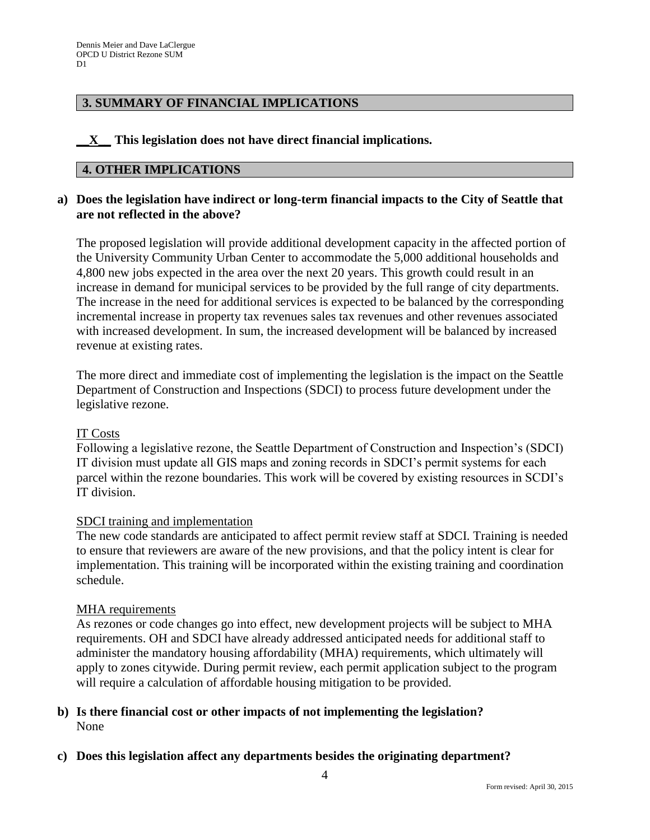## **3. SUMMARY OF FINANCIAL IMPLICATIONS**

## **\_\_X\_\_ This legislation does not have direct financial implications.**

### **4. OTHER IMPLICATIONS**

## **a) Does the legislation have indirect or long-term financial impacts to the City of Seattle that are not reflected in the above?**

The proposed legislation will provide additional development capacity in the affected portion of the University Community Urban Center to accommodate the 5,000 additional households and 4,800 new jobs expected in the area over the next 20 years. This growth could result in an increase in demand for municipal services to be provided by the full range of city departments. The increase in the need for additional services is expected to be balanced by the corresponding incremental increase in property tax revenues sales tax revenues and other revenues associated with increased development. In sum, the increased development will be balanced by increased revenue at existing rates.

The more direct and immediate cost of implementing the legislation is the impact on the Seattle Department of Construction and Inspections (SDCI) to process future development under the legislative rezone.

#### IT Costs

Following a legislative rezone, the Seattle Department of Construction and Inspection's (SDCI) IT division must update all GIS maps and zoning records in SDCI's permit systems for each parcel within the rezone boundaries. This work will be covered by existing resources in SCDI's IT division.

#### SDCI training and implementation

The new code standards are anticipated to affect permit review staff at SDCI. Training is needed to ensure that reviewers are aware of the new provisions, and that the policy intent is clear for implementation. This training will be incorporated within the existing training and coordination schedule.

#### MHA requirements

As rezones or code changes go into effect, new development projects will be subject to MHA requirements. OH and SDCI have already addressed anticipated needs for additional staff to administer the mandatory housing affordability (MHA) requirements, which ultimately will apply to zones citywide. During permit review, each permit application subject to the program will require a calculation of affordable housing mitigation to be provided.

### **b) Is there financial cost or other impacts of not implementing the legislation?** None

**c) Does this legislation affect any departments besides the originating department?**